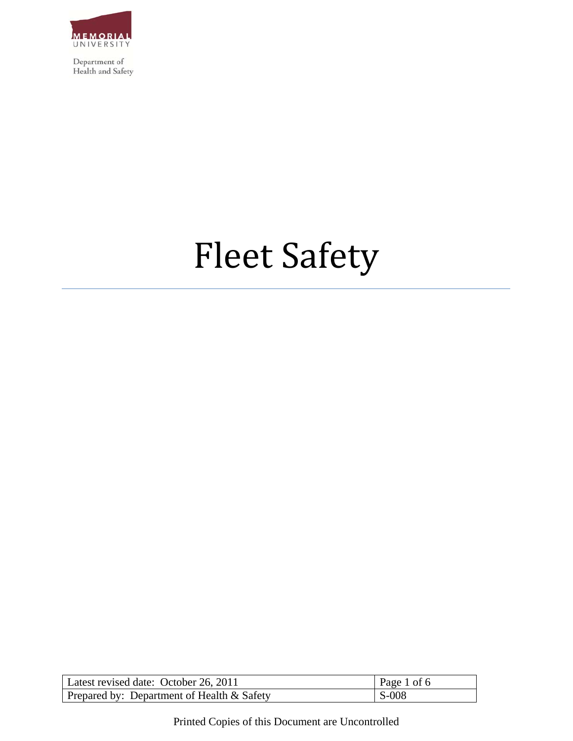

Department of Health and Safety

# **Fleet Safety**

| Latest revised date: October 26, 2011      | Page 1 of 6 |
|--------------------------------------------|-------------|
| Prepared by: Department of Health & Safety | $S-008$     |

Printed Copies of this Document are Uncontrolled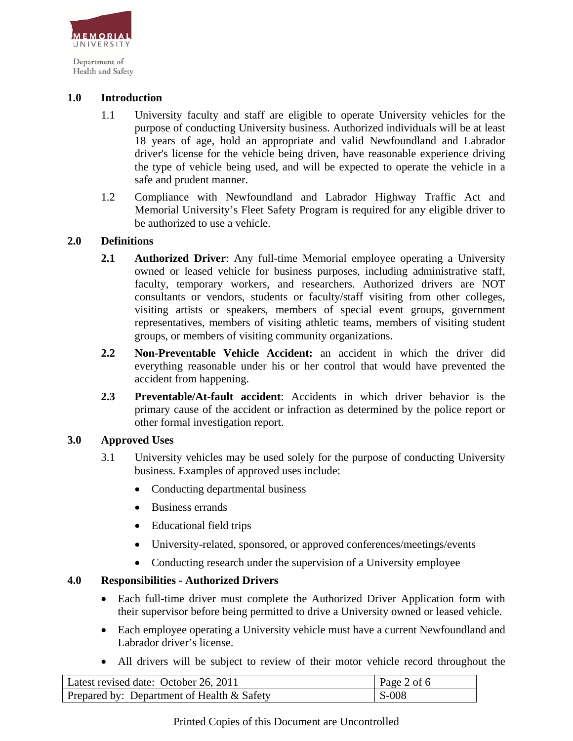

Department of Health and Safety

#### **1.0 Introduction**

- 1.1 University faculty and staff are eligible to operate University vehicles for the purpose of conducting University business. Authorized individuals will be at least 18 years of age, hold an appropriate and valid Newfoundland and Labrador driver's license for the vehicle being driven, have reasonable experience driving the type of vehicle being used, and will be expected to operate the vehicle in a safe and prudent manner.
- 1.2 Compliance with Newfoundland and Labrador Highway Traffic Act and Memorial University's Fleet Safety Program is required for any eligible driver to be authorized to use a vehicle.

#### **2.0 Definitions**

- **2.1 Authorized Driver**: Any full-time Memorial employee operating a University owned or leased vehicle for business purposes, including administrative staff, faculty, temporary workers, and researchers. Authorized drivers are NOT consultants or vendors, students or faculty/staff visiting from other colleges, visiting artists or speakers, members of special event groups, government representatives, members of visiting athletic teams, members of visiting student groups, or members of visiting community organizations.
- **2.2 Non-Preventable Vehicle Accident:** an accident in which the driver did everything reasonable under his or her control that would have prevented the accident from happening.
- **2.3 Preventable/At-fault accident**: Accidents in which driver behavior is the primary cause of the accident or infraction as determined by the police report or other formal investigation report.

## **3.0 Approved Uses**

- 3.1 University vehicles may be used solely for the purpose of conducting University business. Examples of approved uses include:
	- Conducting departmental business
	- Business errands
	- Educational field trips
	- University-related, sponsored, or approved conferences/meetings/events
	- Conducting research under the supervision of a University employee

## **4.0 Responsibilities - Authorized Drivers**

- Each full-time driver must complete the Authorized Driver Application form with their supervisor before being permitted to drive a University owned or leased vehicle.
- Each employee operating a University vehicle must have a current Newfoundland and Labrador driver's license.
- All drivers will be subject to review of their motor vehicle record throughout the

| Latest revised date: October 26, 2011      | Page 2 of $6$                  |
|--------------------------------------------|--------------------------------|
| Prepared by: Department of Health & Safety | $\overline{\phantom{0}}$ S-008 |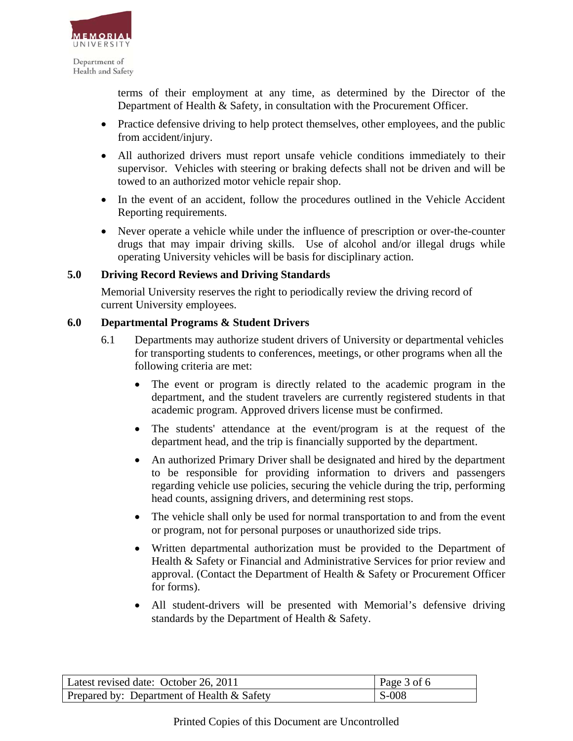

terms of their employment at any time, as determined by the Director of the Department of Health & Safety, in consultation with the Procurement Officer.

- Practice defensive driving to help protect themselves, other employees, and the public from accident/injury.
- All authorized drivers must report unsafe vehicle conditions immediately to their supervisor. Vehicles with steering or braking defects shall not be driven and will be towed to an authorized motor vehicle repair shop.
- In the event of an accident, follow the procedures outlined in the Vehicle Accident Reporting requirements.
- Never operate a vehicle while under the influence of prescription or over-the-counter drugs that may impair driving skills. Use of alcohol and/or illegal drugs while operating University vehicles will be basis for disciplinary action.

### **5.0 Driving Record Reviews and Driving Standards**

Memorial University reserves the right to periodically review the driving record of current University employees.

#### **6.0 Departmental Programs & Student Drivers**

- 6.1 Departments may authorize student drivers of University or departmental vehicles for transporting students to conferences, meetings, or other programs when all the following criteria are met:
	- The event or program is directly related to the academic program in the department, and the student travelers are currently registered students in that academic program. Approved drivers license must be confirmed.
	- The students' attendance at the event/program is at the request of the department head, and the trip is financially supported by the department.
	- An authorized Primary Driver shall be designated and hired by the department to be responsible for providing information to drivers and passengers regarding vehicle use policies, securing the vehicle during the trip, performing head counts, assigning drivers, and determining rest stops.
	- The vehicle shall only be used for normal transportation to and from the event or program, not for personal purposes or unauthorized side trips.
	- Written departmental authorization must be provided to the Department of Health & Safety or Financial and Administrative Services for prior review and approval. (Contact the Department of Health & Safety or Procurement Officer for forms).
	- All student-drivers will be presented with Memorial's defensive driving standards by the Department of Health & Safety.

| Latest revised date: October 26, 2011         | Page $3$ of 6           |
|-----------------------------------------------|-------------------------|
| Prepared by: Department of Health $\&$ Safety | $\mathsf{S}\text{-}008$ |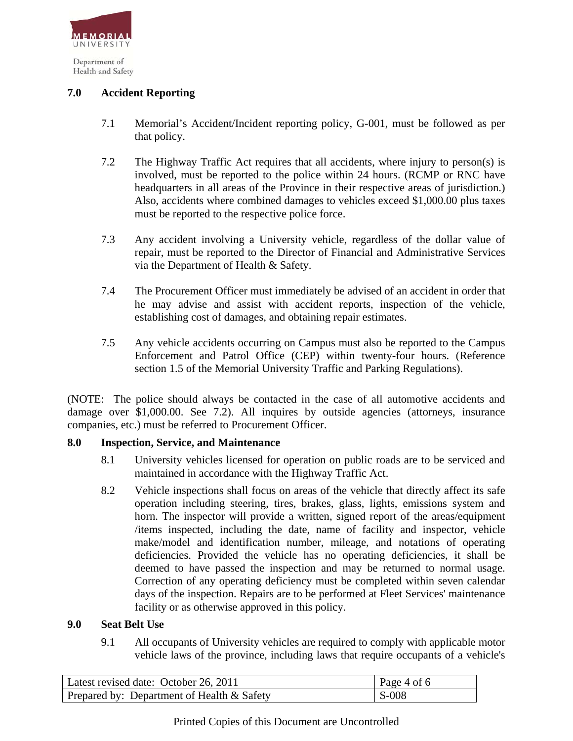

Health and Safety

## **7.0 Accident Reporting**

- 7.1 Memorial's Accident/Incident reporting policy, G-001, must be followed as per that policy.
- 7.2 The Highway Traffic Act requires that all accidents, where injury to person(s) is involved, must be reported to the police within 24 hours. (RCMP or RNC have headquarters in all areas of the Province in their respective areas of jurisdiction.) Also, accidents where combined damages to vehicles exceed \$1,000.00 plus taxes must be reported to the respective police force.
- 7.3 Any accident involving a University vehicle, regardless of the dollar value of repair, must be reported to the Director of Financial and Administrative Services via the Department of Health & Safety.
- 7.4 The Procurement Officer must immediately be advised of an accident in order that he may advise and assist with accident reports, inspection of the vehicle, establishing cost of damages, and obtaining repair estimates.
- 7.5 Any vehicle accidents occurring on Campus must also be reported to the Campus Enforcement and Patrol Office (CEP) within twenty-four hours. (Reference section 1.5 of the Memorial University Traffic and Parking Regulations).

(NOTE: The police should always be contacted in the case of all automotive accidents and damage over \$1,000.00. See 7.2). All inquires by outside agencies (attorneys, insurance companies, etc.) must be referred to Procurement Officer.

## **8.0 Inspection, Service, and Maintenance**

- 8.1 University vehicles licensed for operation on public roads are to be serviced and maintained in accordance with the Highway Traffic Act.
- 8.2 Vehicle inspections shall focus on areas of the vehicle that directly affect its safe operation including steering, tires, brakes, glass, lights, emissions system and horn. The inspector will provide a written, signed report of the areas/equipment /items inspected, including the date, name of facility and inspector, vehicle make/model and identification number, mileage, and notations of operating deficiencies. Provided the vehicle has no operating deficiencies, it shall be deemed to have passed the inspection and may be returned to normal usage. Correction of any operating deficiency must be completed within seven calendar days of the inspection. Repairs are to be performed at Fleet Services' maintenance facility or as otherwise approved in this policy.

#### **9.0 Seat Belt Use**

9.1 All occupants of University vehicles are required to comply with applicable motor vehicle laws of the province, including laws that require occupants of a vehicle's

| Latest revised date: October 26, 2011      | $\vert$ Page 4 of 6 |
|--------------------------------------------|---------------------|
| Prepared by: Department of Health & Safety | $\vert$ S-008       |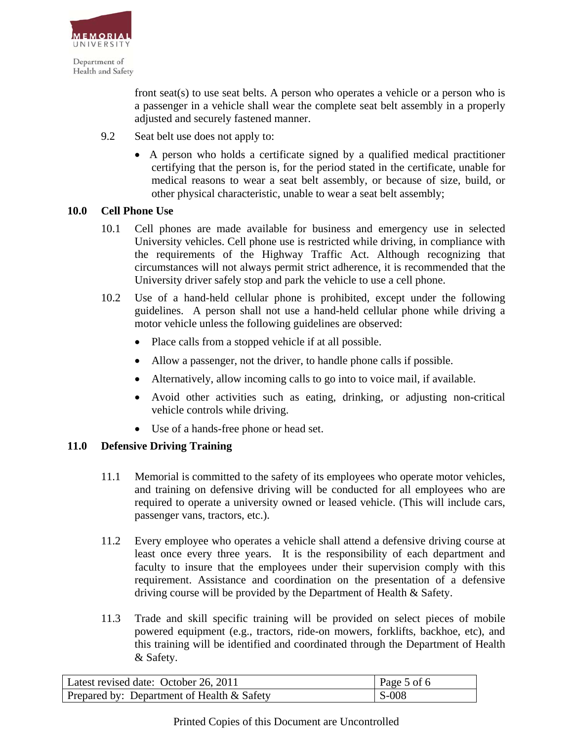

front seat(s) to use seat belts. A person who operates a vehicle or a person who is a passenger in a vehicle shall wear the complete seat belt assembly in a properly adjusted and securely fastened manner.

- 9.2 Seat belt use does not apply to:
	- A person who holds a certificate signed by a qualified medical practitioner certifying that the person is, for the period stated in the certificate, unable for medical reasons to wear a seat belt assembly, or because of size, build, or other physical characteristic, unable to wear a seat belt assembly;

#### **10.0 Cell Phone Use**

- 10.1 Cell phones are made available for business and emergency use in selected University vehicles. Cell phone use is restricted while driving, in compliance with the requirements of the Highway Traffic Act. Although recognizing that circumstances will not always permit strict adherence, it is recommended that the University driver safely stop and park the vehicle to use a cell phone.
- 10.2 Use of a hand-held cellular phone is prohibited, except under the following guidelines. A person shall not use a hand-held cellular phone while driving a motor vehicle unless the following guidelines are observed:
	- Place calls from a stopped vehicle if at all possible.
	- Allow a passenger, not the driver, to handle phone calls if possible.
	- Alternatively, allow incoming calls to go into to voice mail, if available.
	- Avoid other activities such as eating, drinking, or adjusting non-critical vehicle controls while driving.
	- Use of a hands-free phone or head set.

#### **11.0 Defensive Driving Training**

- 11.1 Memorial is committed to the safety of its employees who operate motor vehicles, and training on defensive driving will be conducted for all employees who are required to operate a university owned or leased vehicle. (This will include cars, passenger vans, tractors, etc.).
- 11.2 Every employee who operates a vehicle shall attend a defensive driving course at least once every three years. It is the responsibility of each department and faculty to insure that the employees under their supervision comply with this requirement. Assistance and coordination on the presentation of a defensive driving course will be provided by the Department of Health & Safety.
- 11.3 Trade and skill specific training will be provided on select pieces of mobile powered equipment (e.g., tractors, ride-on mowers, forklifts, backhoe, etc), and this training will be identified and coordinated through the Department of Health & Safety.

| Latest revised date: October 26, 2011      | $\vert$ Page 5 of 6 |
|--------------------------------------------|---------------------|
| Prepared by: Department of Health & Safety | $\vert$ S-008       |